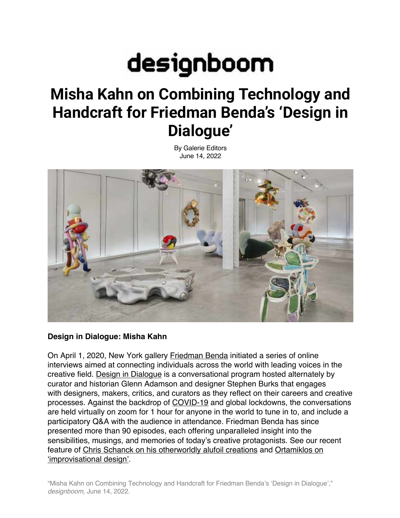# designboom

# **Misha Kahn on Combining Technology and Handcraft for Friedman Benda's 'Design in Dialogue'**

By Galerie Editors June 14, 2022



## **Design in Dialogue: Misha Kahn**

On April 1, 2020, New York gallery Friedman Benda initiated a series of online interviews aimed at connecting individuals across the world with leading voices in the creative field. Design in Dialogue is a conversational program hosted alternately by curator and historian Glenn Adamson and designer Stephen Burks that engages with designers, makers, critics, and curators as they reflect on their careers and creative processes. Against the backdrop of COVID-19 and global lockdowns, the conversations are held virtually on zoom for 1 hour for anyone in the world to tune in to, and include a participatory Q&A with the audience in attendance. Friedman Benda has since presented more than 90 episodes, each offering unparalleled insight into the sensibilities, musings, and memories of today's creative protagonists. See our recent feature of Chris Schanck on his otherworldly alufoil creations and Ortamiklos on 'improvisational design'.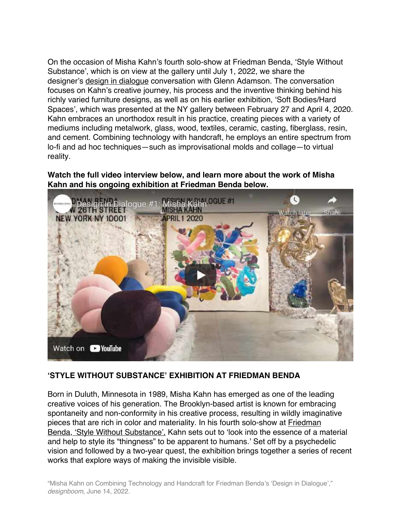On the occasion of Misha Kahn's fourth solo-show at Friedman Benda, 'Style Without Substance', which is on view at the gallery until July 1, 2022, we share the designer's design in dialogue conversation with Glenn Adamson. The conversation focuses on Kahn's creative journey, his process and the inventive thinking behind his richly varied furniture designs, as well as on his earlier exhibition, 'Soft Bodies/Hard Spaces', which was presented at the NY gallery between February 27 and April 4, 2020. Kahn embraces an unorthodox result in his practice, creating pieces with a variety of mediums including metalwork, glass, wood, textiles, ceramic, casting, fiberglass, resin, and cement. Combining technology with handcraft, he employs an entire spectrum from lo-fi and ad hoc techniques—such as improvisational molds and collage—to virtual reality.

**Watch the full video interview below, and learn more about the work of Misha Kahn and his ongoing exhibition at Friedman Benda below.**



### **'STYLE WITHOUT SUBSTANCE' EXHIBITION AT FRIEDMAN BENDA**

Born in Duluth, Minnesota in 1989, Misha Kahn has emerged as one of the leading creative voices of his generation. The Brooklyn-based artist is known for embracing spontaneity and non-conformity in his creative process, resulting in wildly imaginative pieces that are rich in color and materiality. In his fourth solo-show at Friedman Benda, 'Style Without Substance', Kahn sets out to 'look into the essence of a material and help to style its "thingness" to be apparent to humans.' Set off by a psychedelic vision and followed by a two-year quest, the exhibition brings together a series of recent works that explore ways of making the invisible visible.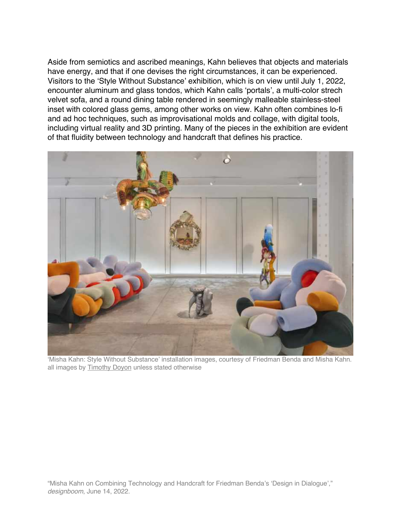Aside from semiotics and ascribed meanings, Kahn believes that objects and materials have energy, and that if one devises the right circumstances, it can be experienced. Visitors to the 'Style Without Substance' exhibition, which is on view until July 1, 2022, encounter aluminum and glass tondos, which Kahn calls 'portals', a multi-color strech velvet sofa, and a round dining table rendered in seemingly malleable stainless-steel inset with colored glass gems, among other works on view. Kahn often combines lo-fi and ad hoc techniques, such as improvisational molds and collage, with digital tools, including virtual reality and 3D printing. Many of the pieces in the exhibition are evident of that fluidity between technology and handcraft that defines his practice.



'Misha Kahn: Style Without Substance' installation images, courtesy of Friedman Benda and Misha Kahn. all images by Timothy Doyon unless stated otherwise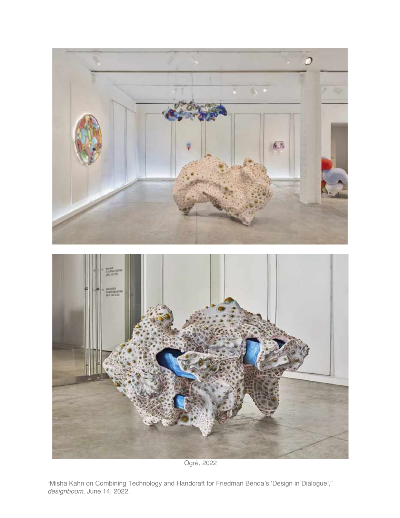

Ogré, 2022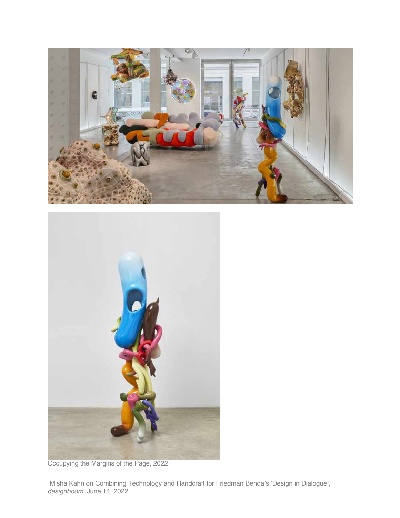



Occupying the Margins of the Page, 2022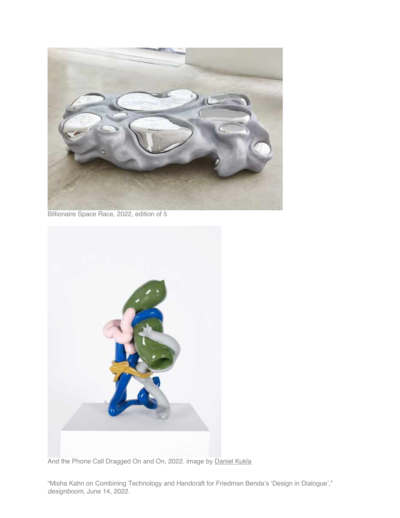

Billionaire Space Race, 2022, edition of 5



And the Phone Call Dragged On and On, 2022. image by Daniel Kukla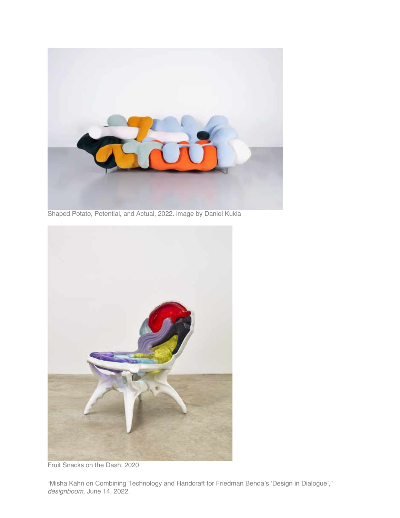

Shaped Potato, Potential, and Actual, 2022. image by Daniel Kukla



Fruit Snacks on the Dash, 2020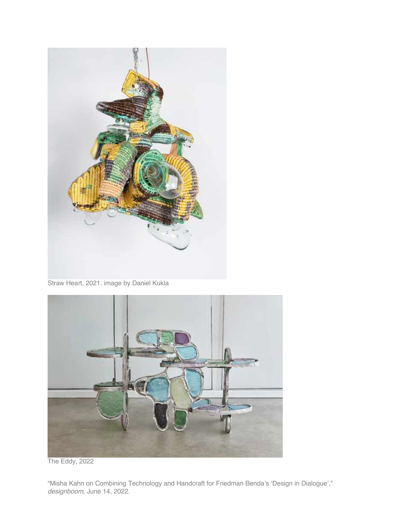

Straw Heart, 2021. image by Daniel Kukla



The Eddy, 2022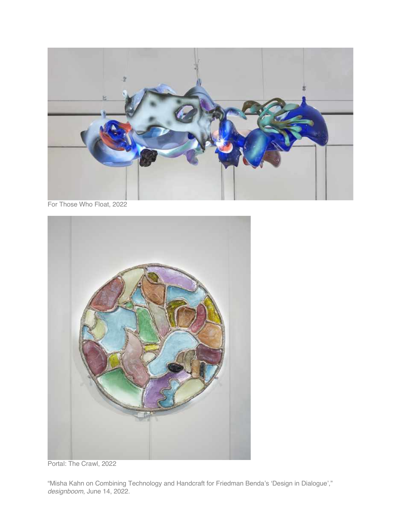

For Those Who Float, 2022



Portal: The Crawl, 2022